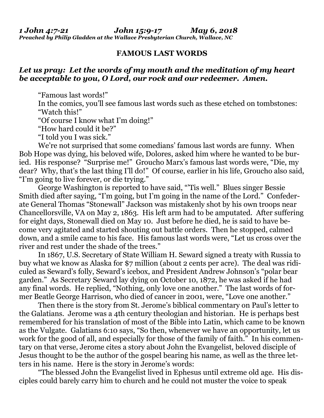## **FAMOUS LAST WORDS**

## *Let us pray: Let the words of my mouth and the meditation of my heart be acceptable to you, O Lord, our rock and our redeemer. Amen.*

"Famous last words!"

In the comics, you'll see famous last words such as these etched on tombstones: "Watch this!"

"Of course I know what I'm doing!"

"How hard could it be?"

"I told you I was sick."

We're not surprised that some comedians' famous last words are funny. When Bob Hope was dying, his beloved wife, Dolores, asked him where he wanted to be buried. His response? "Surprise me!" Groucho Marx's famous last words were, "Die, my dear? Why, that's the last thing I'll do!" Of course, earlier in his life, Groucho also said, "I'm going to live forever, or die trying."

George Washington is reported to have said, "'Tis well." Blues singer Bessie Smith died after saying, "I'm going, but I'm going in the name of the Lord." Confederate General Thomas "Stonewall" Jackson was mistakenly shot by his own troops near Chancellorsville, VA on May 2, 1863. His left arm had to be amputated. After suffering for eight days, Stonewall died on May 10. Just before he died, he is said to have become very agitated and started shouting out battle orders. Then he stopped, calmed down, and a smile came to his face. His famous last words were, "Let us cross over the river and rest under the shade of the trees."

In 1867, U.S. Secretary of State William H. Seward signed a treaty with Russia to buy what we know as Alaska for \$7 million (about 2 cents per acre). The deal was ridiculed as Seward's folly, Seward's icebox, and President Andrew Johnson's "polar bear garden." As Secretary Seward lay dying on October 10, 1872, he was asked if he had any final words. He replied, "Nothing, only love one another." The last words of former Beatle George Harrison, who died of cancer in 2001, were, "Love one another."

Then there is the story from St. Jerome's biblical commentary on Paul's letter to the Galatians. Jerome was a 4th century theologian and historian. He is perhaps best remembered for his translation of most of the Bible into Latin, which came to be known as the Vulgate. Galatians 6:10 says, "So then, whenever we have an opportunity, let us work for the good of all, and especially for those of the family of faith." In his commentary on that verse, Jerome cites a story about John the Evangelist, beloved disciple of Jesus thought to be the author of the gospel bearing his name, as well as the three letters in his name. Here is the story in Jerome's words:

"The blessed John the Evangelist lived in Ephesus until extreme old age. His disciples could barely carry him to church and he could not muster the voice to speak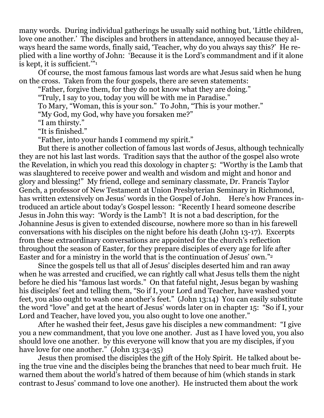many words. During individual gatherings he usually said nothing but, 'Little children, love one another.' The disciples and brothers in attendance, annoyed because they always heard the same words, finally said, 'Teacher, why do you always say this?' He replied with a line worthy of John: 'Because it is the Lord's commandment and if it alone is kept, it is sufficient.'"<sup>1</sup>

Of course, the most famous famous last words are what Jesus said when he hung on the cross. Taken from the four gospels, there are seven statements:

"Father, forgive them, for they do not know what they are doing."

"Truly, I say to you, today you will be with me in Paradise."

To Mary, "Woman, this is your son." To John, "This is your mother."

"My God, my God, why have you forsaken me?"

"I am thirsty."

"It is finished."

"Father, into your hands I commend my spirit."

But there is another collection of famous last words of Jesus, although technically they are not his last last words. Tradition says that the author of the gospel also wrote the Revelation, in which you read this doxology in chapter 5: "Worthy is the Lamb that was slaughtered to receive power and wealth and wisdom and might and honor and glory and blessing!" My friend, college and seminary classmate, Dr. Francis Taylor Gench, a professor of New Testament at Union Presbyterian Seminary in Richmond, has written extensively on Jesus' words in the Gospel of John. Here's how Frances introduced an article about today's Gospel lesson: "Recently I heard someone describe Jesus in John this way: 'Wordy is the Lamb'! It is not a bad description, for the Johannine Jesus is given to extended discourse, nowhere more so than in his farewell conversations with his disciples on the night before his death (John 13-17). Excerpts from these extraordinary conversations are appointed for the church's reflection throughout the season of Easter, for they prepare disciples of every age for life after Easter and for a ministry in the world that is the continuation of Jesus' own."<sup>2</sup>

Since the gospels tell us that all of Jesus' disciples deserted him and ran away when he was arrested and crucified, we can rightly call what Jesus tells them the night before he died his "famous last words." On that fateful night, Jesus began by washing his disciples' feet and telling them, "So if I, your Lord and Teacher, have washed your feet, you also ought to wash one another's feet." (John 13:14) You can easily substitute the word "love" and get at the heart of Jesus' words later on in chapter 15: "So if I, your Lord and Teacher, have loved you, you also ought to love one another."

After he washed their feet, Jesus gave his disciples a new commandment: "I give you a new commandment, that you love one another. Just as I have loved you, you also should love one another. by this everyone will know that you are my disciples, if you have love for one another." (John 13:34-35)

Jesus then promised the disciples the gift of the Holy Spirit. He talked about being the true vine and the disciples being the branches that need to bear much fruit. He warned them about the world's hatred of them because of him (which stands in stark contrast to Jesus' command to love one another). He instructed them about the work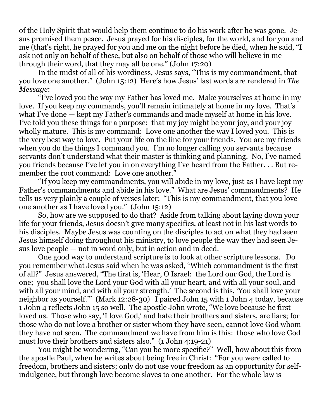of the Holy Spirit that would help them continue to do his work after he was gone. Jesus promised them peace. Jesus prayed for his disciples, for the world, and for you and me (that's right, he prayed for you and me on the night before he died, when he said, "I ask not only on behalf of these, but also on behalf of those who will believe in me through their word, that they may all be one." (John 17:20)

In the midst of all of his wordiness, Jesus says, "This is my commandment, that you love one another." (John 15:12) Here's how Jesus' last words are rendered in *The Message*:

"I've loved you the way my Father has loved me. Make yourselves at home in my love. If you keep my commands, you'll remain intimately at home in my love. That's what I've done — kept my Father's commands and made myself at home in his love. I've told you these things for a purpose: that my joy might be your joy, and your joy wholly mature. This is my command: Love one another the way I loved you. This is the very best way to love. Put your life on the line for your friends. You are my friends when you do the things I command you. I'm no longer calling you servants because servants don't understand what their master is thinking and planning. No, I've named you friends because I've let you in on everything I've heard from the Father. . . But remember the root command: Love one another."

"If you keep my commandments, you will abide in my love, just as I have kept my Father's commandments and abide in his love." What are Jesus' commandments? He tells us very plainly a couple of verses later: "This is my commandment, that you love one another as I have loved you." (John 15:12)

So, how are we supposed to do that? Aside from talking about laying down your life for your friends, Jesus doesn't give many specifics, at least not in his last words to his disciples. Maybe Jesus was counting on the disciples to act on what they had seen Jesus himself doing throughout his ministry, to love people the way they had seen Jesus love people — not in word only, but in action and in deed.

One good way to understand scripture is to look at other scripture lessons. Do you remember what Jesus said when he was asked, "Which commandment is the first of all?" Jesus answered, "The first is, 'Hear, O Israel: the Lord our God, the Lord is one; you shall love the Lord your God with all your heart, and with all your soul, and with all your mind, and with all your strength.' The second is this, 'You shall love your neighbor as yourself.'" (Mark 12:28-30) I paired John 15 with 1 John 4 today, because 1 John 4 reflects John 15 so well. The apostle John wrote, "We love because he first loved us. Those who say, 'I love God,' and hate their brothers and sisters, are liars; for those who do not love a brother or sister whom they have seen, cannot love God whom they have not seen. The commandment we have from him is this: those who love God must love their brothers and sisters also." (1 John 4:19-21)

You might be wondering, "Can you be more specific?" Well, how about this from the apostle Paul, when he writes about being free in Christ: "For you were called to freedom, brothers and sisters; only do not use your freedom as an opportunity for selfindulgence, but through love become slaves to one another. For the whole law is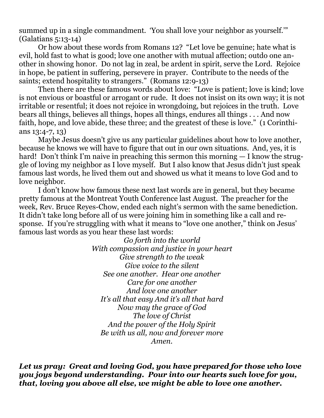summed up in a single commandment. 'You shall love your neighbor as yourself.'" (Galatians 5:13-14)

Or how about these words from Romans 12? "Let love be genuine; hate what is evil, hold fast to what is good; love one another with mutual affection; outdo one another in showing honor. Do not lag in zeal, be ardent in spirit, serve the Lord. Rejoice in hope, be patient in suffering, persevere in prayer. Contribute to the needs of the saints; extend hospitality to strangers." (Romans 12:9-13)

Then there are these famous words about love: "Love is patient; love is kind; love is not envious or boastful or arrogant or rude. It does not insist on its own way; it is not irritable or resentful; it does not rejoice in wrongdoing, but rejoices in the truth. Love bears all things, believes all things, hopes all things, endures all things . . . And now faith, hope, and love abide, these three; and the greatest of these is love." (1 Corinthians 13:4-7, 13)

Maybe Jesus doesn't give us any particular guidelines about how to love another, because he knows we will have to figure that out in our own situations. And, yes, it is hard! Don't think I'm naive in preaching this sermon this morning  $-1$  know the struggle of loving my neighbor as I love myself. But I also know that Jesus didn't just speak famous last words, he lived them out and showed us what it means to love God and to love neighbor.

I don't know how famous these next last words are in general, but they became pretty famous at the Montreat Youth Conference last August. The preacher for the week, Rev. Bruce Reyes-Chow, ended each night's sermon with the same benediction. It didn't take long before all of us were joining him in something like a call and response. If you're struggling with what it means to "love one another," think on Jesus' famous last words as you hear these last words:

> *Go forth into the world With compassion and justice in your heart Give strength to the weak Give voice to the silent See one another. Hear one another Care for one another And love one another It's all that easy And it's all that hard Now may the grace of God The love of Christ And the power of the Holy Spirit Be with us all, now and forever more Amen.*

*Let us pray: Great and loving God, you have prepared for those who love you joys beyond understanding. Pour into our hearts such love for you, that, loving you above all else, we might be able to love one another.*